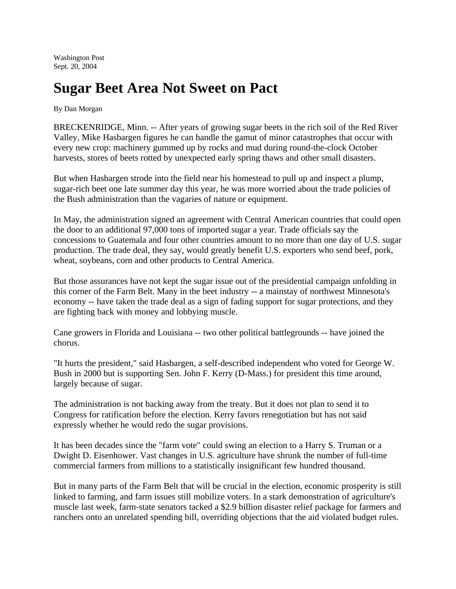Washington Post Sept. 20, 2004

## **Sugar Beet Area Not Sweet on Pact**

By Dan Morgan

BRECKENRIDGE, Minn. -- After years of growing sugar beets in the rich soil of the Red River Valley, Mike Hasbargen figures he can handle the gamut of minor catastrophes that occur with every new crop: machinery gummed up by rocks and mud during round-the-clock October harvests, stores of beets rotted by unexpected early spring thaws and other small disasters.

But when Hasbargen strode into the field near his homestead to pull up and inspect a plump, sugar-rich beet one late summer day this year, he was more worried about the trade policies of the Bush administration than the vagaries of nature or equipment.

In May, the administration signed an agreement with Central American countries that could open the door to an additional 97,000 tons of imported sugar a year. Trade officials say the concessions to Guatemala and four other countries amount to no more than one day of U.S. sugar production. The trade deal, they say, would greatly benefit U.S. exporters who send beef, pork, wheat, soybeans, corn and other products to Central America.

But those assurances have not kept the sugar issue out of the presidential campaign unfolding in this corner of the Farm Belt. Many in the beet industry -- a mainstay of northwest Minnesota's economy -- have taken the trade deal as a sign of fading support for sugar protections, and they are fighting back with money and lobbying muscle.

Cane growers in Florida and Louisiana -- two other political battlegrounds -- have joined the chorus.

"It hurts the president," said Hasbargen, a self-described independent who voted for George W. Bush in 2000 but is supporting Sen. John F. Kerry (D-Mass.) for president this time around, largely because of sugar.

The administration is not backing away from the treaty. But it does not plan to send it to Congress for ratification before the election. Kerry favors renegotiation but has not said expressly whether he would redo the sugar provisions.

It has been decades since the "farm vote" could swing an election to a Harry S. Truman or a Dwight D. Eisenhower. Vast changes in U.S. agriculture have shrunk the number of full-time commercial farmers from millions to a statistically insignificant few hundred thousand.

But in many parts of the Farm Belt that will be crucial in the election, economic prosperity is still linked to farming, and farm issues still mobilize voters. In a stark demonstration of agriculture's muscle last week, farm-state senators tacked a \$2.9 billion disaster relief package for farmers and ranchers onto an unrelated spending bill, overriding objections that the aid violated budget rules.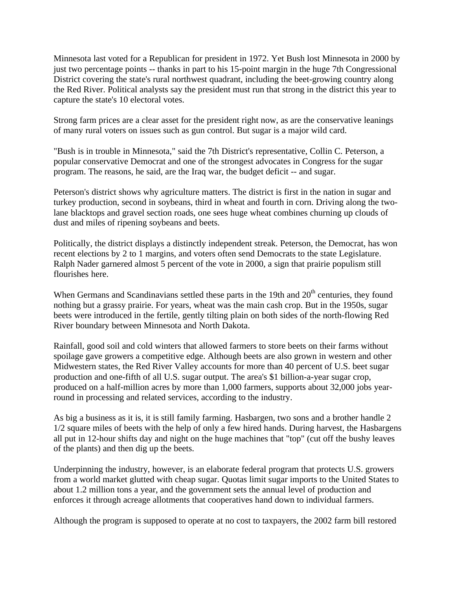Minnesota last voted for a Republican for president in 1972. Yet Bush lost Minnesota in 2000 by just two percentage points -- thanks in part to his 15-point margin in the huge 7th Congressional District covering the state's rural northwest quadrant, including the beet-growing country along the Red River. Political analysts say the president must run that strong in the district this year to capture the state's 10 electoral votes.

Strong farm prices are a clear asset for the president right now, as are the conservative leanings of many rural voters on issues such as gun control. But sugar is a major wild card.

"Bush is in trouble in Minnesota," said the 7th District's representative, Collin C. Peterson, a popular conservative Democrat and one of the strongest advocates in Congress for the sugar program. The reasons, he said, are the Iraq war, the budget deficit -- and sugar.

Peterson's district shows why agriculture matters. The district is first in the nation in sugar and turkey production, second in soybeans, third in wheat and fourth in corn. Driving along the twolane blacktops and gravel section roads, one sees huge wheat combines churning up clouds of dust and miles of ripening soybeans and beets.

Politically, the district displays a distinctly independent streak. Peterson, the Democrat, has won recent elections by 2 to 1 margins, and voters often send Democrats to the state Legislature. Ralph Nader garnered almost 5 percent of the vote in 2000, a sign that prairie populism still flourishes here.

When Germans and Scandinavians settled these parts in the 19th and  $20<sup>th</sup>$  centuries, they found nothing but a grassy prairie. For years, wheat was the main cash crop. But in the 1950s, sugar beets were introduced in the fertile, gently tilting plain on both sides of the north-flowing Red River boundary between Minnesota and North Dakota.

Rainfall, good soil and cold winters that allowed farmers to store beets on their farms without spoilage gave growers a competitive edge. Although beets are also grown in western and other Midwestern states, the Red River Valley accounts for more than 40 percent of U.S. beet sugar production and one-fifth of all U.S. sugar output. The area's \$1 billion-a-year sugar crop, produced on a half-million acres by more than 1,000 farmers, supports about 32,000 jobs yearround in processing and related services, according to the industry.

As big a business as it is, it is still family farming. Hasbargen, two sons and a brother handle 2 1/2 square miles of beets with the help of only a few hired hands. During harvest, the Hasbargens all put in 12-hour shifts day and night on the huge machines that "top" (cut off the bushy leaves of the plants) and then dig up the beets.

Underpinning the industry, however, is an elaborate federal program that protects U.S. growers from a world market glutted with cheap sugar. Quotas limit sugar imports to the United States to about 1.2 million tons a year, and the government sets the annual level of production and enforces it through acreage allotments that cooperatives hand down to individual farmers.

Although the program is supposed to operate at no cost to taxpayers, the 2002 farm bill restored